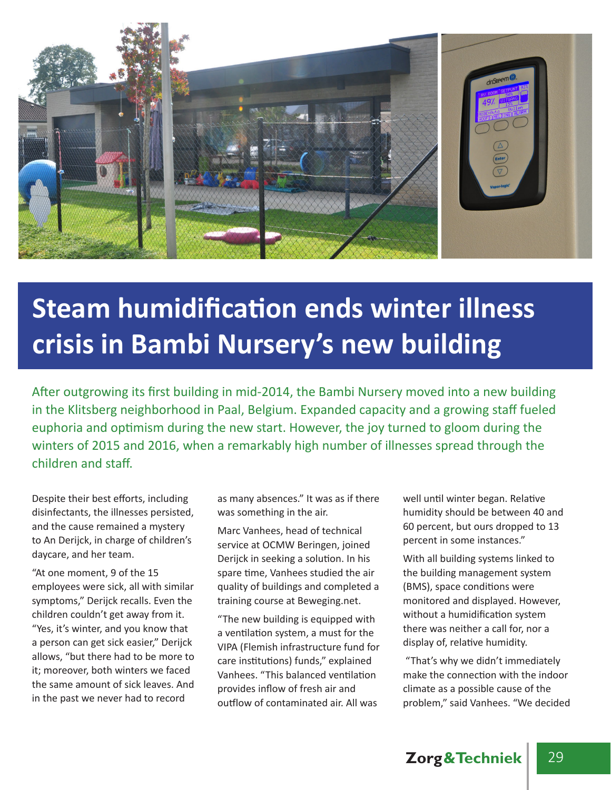

## **Steam humidification ends winter illness crisis in Bambi Nursery's new building**

After outgrowing its first building in mid-2014, the Bambi Nursery moved into a new building in the Klitsberg neighborhood in Paal, Belgium. Expanded capacity and a growing staff fueled euphoria and optimism during the new start. However, the joy turned to gloom during the winters of 2015 and 2016, when a remarkably high number of illnesses spread through the children and staff.

Despite their best efforts, including disinfectants, the illnesses persisted, and the cause remained a mystery to An Derijck, in charge of children's daycare, and her team.

"At one moment, 9 of the 15 employees were sick, all with similar symptoms," Derijck recalls. Even the children couldn't get away from it. "Yes, it's winter, and you know that a person can get sick easier," Derijck allows, "but there had to be more to it; moreover, both winters we faced the same amount of sick leaves. And in the past we never had to record

as many absences." It was as if there was something in the air.

Marc Vanhees, head of technical service at OCMW Beringen, joined Derijck in seeking a solution. In his spare time, Vanhees studied the air quality of buildings and completed a training course at Beweging.net.

"The new building is equipped with a ventilation system, a must for the VIPA (Flemish infrastructure fund for care institutions) funds," explained Vanhees. "This balanced ventilation provides inflow of fresh air and outflow of contaminated air. All was

well until winter began. Relative humidity should be between 40 and 60 percent, but ours dropped to 13 percent in some instances."

With all building systems linked to the building management system (BMS), space conditions were monitored and displayed. However, without a humidification system there was neither a call for, nor a display of, relative humidity.

 "That's why we didn't immediately make the connection with the indoor climate as a possible cause of the problem," said Vanhees. "We decided